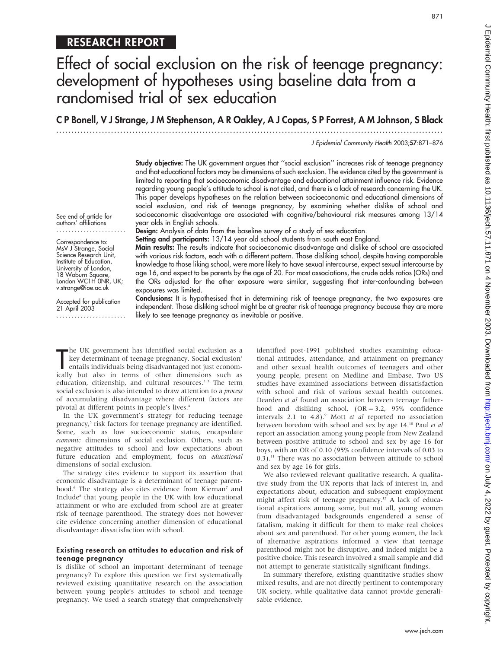## RESEARCH REPORT

# Effect of social exclusion on the risk of teenage pregnancy: development of hypotheses using baseline data from a randomised trial of sex education

C P Bonell, V J Strange, J M Stephenson, A R Oakley, A J Copas, S P Forrest, A M Johnson, S Black

.............................................................................................................................. .

J Epidemiol Community Health 2003;57:871–876

Study objective: The UK government argues that ''social exclusion'' increases risk of teenage pregnancy and that educational factors may be dimensions of such exclusion. The evidence cited by the government is limited to reporting that socioeconomic disadvantage and educational attainment influence risk. Evidence regarding young people's attitude to school is not cited, and there is a lack of research concerning the UK. This paper develops hypotheses on the relation between socioeconomic and educational dimensions of social exclusion, and risk of teenage pregnancy, by examining whether dislike of school and socioeconomic disadvantage are associated with cognitive/behavioural risk measures among 13/14 year olds in English schools.

Design: Analysis of data from the baseline survey of a study of sex education.

Setting and participants: 13/14 year old school students from south east England.

Main results: The results indicate that socioeconomic disadvantage and dislike of school are associated with various risk factors, each with a different pattern. Those disliking school, despite having comparable knowledge to those liking school, were more likely to have sexual intercourse, expect sexual intercourse by age 16, and expect to be parents by the age of 20. For most associations, the crude odds ratios (ORs) and the ORs adjusted for the other exposure were similar, suggesting that inter-confounding between exposures was limited.

Conclusions: It is hypothesised that in determining risk of teenage pregnancy, the two exposures are independent. Those disliking school might be at greater risk of teenage pregnancy because they are more likely to see teenage pregnancy as inevitable or positive.

The UK government has identified social exclusion as a<br>
key determinant of teenage pregnancy. Social exclusion<br>
entails individuals being disadvantaged not just econom-<br>
ically but also in terms of other dimensions such as he UK government has identified social exclusion as a key determinant of teenage pregnancy. Social exclusion<sup>1</sup> entails individuals being disadvantaged not just economeducation, citizenship, and cultural resources.<sup>23</sup> The term social exclusion is also intended to draw attention to a *process* of accumulating disadvantage where different factors are pivotal at different points in people's lives.4

See end of article for authors' affiliations ....................... Correspondence to: MsV J Strange, Social Science Research Unit, Institute of Education, University of London, 18 Woburn Square, London WC1H 0NR, UK; v.strange@ioe.ac.uk Accepted for publication 21 April 2003

.......................

In the UK government's strategy for reducing teenage pregnancy,<sup>5</sup> risk factors for teenage pregnancy are identified. Some, such as low socioeconomic status, encapsulate economic dimensions of social exclusion. Others, such as negative attitudes to school and low expectations about future education and employment, focus on educational dimensions of social exclusion.

The strategy cites evidence to support its assertion that economic disadvantage is a determinant of teenage parenthood.<sup>6</sup> The strategy also cites evidence from Kiernan<sup>7</sup> and Include8 that young people in the UK with low educational attainment or who are excluded from school are at greater risk of teenage parenthood. The strategy does not however cite evidence concerning another dimension of educational disadvantage: dissatisfaction with school.

### Existing research on attitudes to education and risk of teenage pregnancy

Is dislike of school an important determinant of teenage pregnancy? To explore this question we first systematically reviewed existing quantitative research on the association between young people's attitudes to school and teenage pregnancy. We used a search strategy that comprehensively identified post-1991 published studies examining educational attitudes, attendance, and attainment on pregnancy and other sexual health outcomes of teenagers and other young people, present on Medline and Embase. Two US studies have examined associations between dissatisfaction with school and risk of various sexual health outcomes. Dearden et al found an association between teenage fatherhood and disliking school,  $OR = 3.2$ ,  $95\%$  confidence intervals 2.1 to  $4.8$ ).<sup>9</sup> Mott *et al* reported no association between boredom with school and sex by age 14.<sup>10</sup> Paul et al report an association among young people from New Zealand between positive attitude to school and sex by age 16 for boys, with an OR of 0.10 (95% confidence intervals of 0.03 to  $(0.3)$ .<sup>11</sup> There was no association between attitude to school and sex by age 16 for girls.

We also reviewed relevant qualitative research. A qualitative study from the UK reports that lack of interest in, and expectations about, education and subsequent employment might affect risk of teenage pregnancy.12 A lack of educational aspirations among some, but not all, young women from disadvantaged backgrounds engendered a sense of fatalism, making it difficult for them to make real choices about sex and parenthood. For other young women, the lack of alternative aspirations informed a view that teenage parenthood might not be disruptive, and indeed might be a positive choice. This research involved a small sample and did not attempt to generate statistically significant findings.

In summary therefore, existing quantitative studies show mixed results, and are not directly pertinent to contemporary UK society, while qualitative data cannot provide generalisable evidence.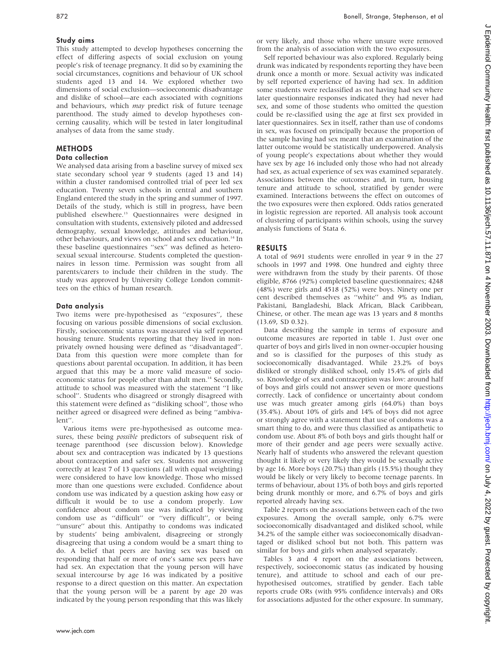## Study aims

This study attempted to develop hypotheses concerning the effect of differing aspects of social exclusion on young people's risk of teenage pregnancy. It did so by examining the social circumstances, cognitions and behaviour of UK school students aged 13 and 14. We explored whether two dimensions of social exclusion—socioeconomic disadvantage and dislike of school—are each associated with cognitions and behaviours, which may predict risk of future teenage parenthood. The study aimed to develop hypotheses concerning causality, which will be tested in later longitudinal analyses of data from the same study.

## METHODS Data collection

We analysed data arising from a baseline survey of mixed sex state secondary school year 9 students (aged 13 and 14) within a cluster randomised controlled trial of peer led sex education. Twenty seven schools in central and southern England entered the study in the spring and summer of 1997. Details of the study, which is still in progress, have been published elsewhere.13 Questionnaires were designed in consultation with students, extensively piloted and addressed demography, sexual knowledge, attitudes and behaviour, other behaviours, and views on school and sex education.<sup>14</sup> In these baseline questionnaires ''sex'' was defined as heterosexual sexual intercourse. Students completed the questionnaires in lesson time. Permission was sought from all parents/carers to include their children in the study. The study was approved by University College London committees on the ethics of human research.

## Data analysis

Two items were pre-hypothesised as ''exposures'', these focusing on various possible dimensions of social exclusion. Firstly, socioeconomic status was measured via self reported housing tenure. Students reporting that they lived in nonprivately owned housing were defined as ''disadvantaged''. Data from this question were more complete than for questions about parental occupation. In addition, it has been argued that this may be a more valid measure of socioeconomic status for people other than adult men.<sup>14</sup> Secondly, attitude to school was measured with the statement ''I like school''. Students who disagreed or strongly disagreed with this statement were defined as ''disliking school'', those who neither agreed or disagreed were defined as being ''ambivalent''.

Various items were pre-hypothesised as outcome measures, these being possible predictors of subsequent risk of teenage parenthood (see discussion below). Knowledge about sex and contraception was indicated by 13 questions about contraception and safer sex. Students not answering correctly at least 7 of 13 questions (all with equal weighting) were considered to have low knowledge. Those who missed more than one questions were excluded. Confidence about condom use was indicated by a question asking how easy or difficult it would be to use a condom properly. Low confidence about condom use was indicated by viewing condom use as ''difficult'' or ''very difficult'', or being "unsure" about this. Antipathy to condoms was indicated by students' being ambivalent, disagreeing or strongly disagreeing that using a condom would be a smart thing to do. A belief that peers are having sex was based on responding that half or more of one's same sex peers have had sex. An expectation that the young person will have sexual intercourse by age 16 was indicated by a positive response to a direct question on this matter. An expectation that the young person will be a parent by age 20 was indicated by the young person responding that this was likely or very likely, and those who where unsure were removed from the analysis of association with the two exposures.

Self reported behaviour was also explored. Regularly being drunk was indicated by respondents reporting they have been drunk once a month or more. Sexual activity was indicated by self reported experience of having had sex. In addition some students were reclassified as not having had sex where later questionnaire responses indicated they had never had sex, and some of those students who omitted the question could be re-classified using the age at first sex provided in later questionnaires. Sex in itself, rather than use of condoms in sex, was focused on principally because the proportion of the sample having had sex meant that an examination of the latter outcome would be statistically underpowered. Analysis of young people's expectations about whether they would have sex by age 16 included only those who had not already had sex, as actual experience of sex was examined separately. Associations between the outcomes and, in turn, housing tenure and attitude to school, stratified by gender were examined. Interactions betweens the effect on outcomes of the two exposures were then explored. Odds ratios generated in logistic regression are reported. All analysis took account of clustering of participants within schools, using the survey analysis functions of Stata 6.

## RESULTS

A total of 9691 students were enrolled in year 9 in the 27 schools in 1997 and 1998. One hundred and eighty three were withdrawn from the study by their parents. Of those eligible, 8766 (92%) completed baseline questionnaires; 4248 (48%) were girls and 4518 (52%) were boys. Ninety one per cent described themselves as ''white'' and 9% as Indian, Pakistani, Bangladeshi, Black African, Black Caribbean, Chinese, or other. The mean age was 13 years and 8 months (13.69, SD 0.32).

Data describing the sample in terms of exposure and outcome measures are reported in table 1. Just over one quarter of boys and girls lived in non owner-occupier housing and so is classified for the purposes of this study as socioeconomically disadvantaged. While 23.2% of boys disliked or strongly disliked school, only 15.4% of girls did so. Knowledge of sex and contraception was low: around half of boys and girls could not answer seven or more questions correctly. Lack of confidence or uncertainty about condom use was much greater among girls (64.0%) than boys (35.4%). About 10% of girls and 14% of boys did not agree or strongly agree with a statement that use of condoms was a smart thing to do, and were thus classified as antipathetic to condom use. About 8% of both boys and girls thought half or more of their gender and age peers were sexually active. Nearly half of students who answered the relevant question thought it likely or very likely they would be sexually active by age 16. More boys (20.7%) than girls (15.5%) thought they would be likely or very likely to become teenage parents. In terms of behaviour, about 13% of both boys and girls reported being drunk monthly or more, and 6.7% of boys and girls reported already having sex.

Table 2 reports on the associations between each of the two exposures. Among the overall sample, only 6.7% were socioeconomically disadvantaged and disliked school, while 34.2% of the sample either was socioeconomically disadvantaged or disliked school but not both. This pattern was similar for boys and girls when analysed separately.

Tables 3 and 4 report on the associations between, respectively, socioeconomic status (as indicated by housing tenure), and attitude to school and each of our prehypothesised outcomes, stratified by gender. Each table reports crude ORs (with 95% confidence intervals) and ORs for associations adjusted for the other exposure. In summary,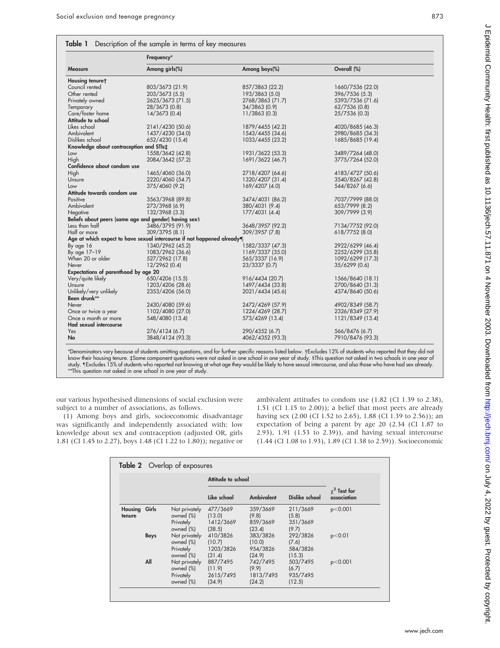|                                         | Frequency*                                                             |                  |                  |  |  |  |  |
|-----------------------------------------|------------------------------------------------------------------------|------------------|------------------|--|--|--|--|
| <b>Measure</b>                          | Among girls(%)                                                         | Among boys(%)    | Overall (%)      |  |  |  |  |
| Housing tenuret                         |                                                                        |                  |                  |  |  |  |  |
| Council rented                          | 803/3673 (21.9)                                                        | 857/3863 (22.2)  | 1660/7536 (22.0) |  |  |  |  |
| Other rented                            | 203/3673 (5.5)                                                         | 193/3863 (5.0)   | 396/7536 (5.3)   |  |  |  |  |
| Privately owned                         | 2625/3673 (71.5)                                                       | 2768/3863 (71.7) | 5393/7536 (71.6) |  |  |  |  |
| Temporary                               | 28/3673 (0.8)                                                          | 34/3863 (0.9)    | 62/7536 (0.8)    |  |  |  |  |
| Care/foster home                        | 14/3673(0.4)                                                           | 11/3863 (0.3)    | 25/7536 (0.3)    |  |  |  |  |
| Attitude to school                      |                                                                        |                  |                  |  |  |  |  |
| Likes school                            | 2141/4230 (50.6)                                                       | 1879/4455 (42.2) | 4020/8685 (46.3) |  |  |  |  |
| Ambivalent                              | 1437/4230 (34.0)                                                       | 1543/4455 (34.6) | 2980/8685 (34.3) |  |  |  |  |
| Dislikes school                         | 652/4230 (15.4)                                                        | 1033/4455 (23.2) | 1685/8685 (19.4) |  |  |  |  |
| Knowledge about contraception and STIs‡ |                                                                        |                  |                  |  |  |  |  |
| Low                                     | 1558/3642 (42.8)                                                       | 1931/3622 (53.3) | 3489/7264 (48.0) |  |  |  |  |
| High                                    | 2084/3642 (57.2)                                                       | 1691/3622 (46.7) | 3775/7264 (52.0) |  |  |  |  |
| Confidence about condom use             |                                                                        |                  |                  |  |  |  |  |
| High                                    | 1465/4060 (36.0)                                                       | 2718/4207 (64.6) | 4183/4727 (50.6) |  |  |  |  |
| Unsure                                  | 2220/4060 (54.7)                                                       | 1320/4207 (31.4) | 3540/8267 (42.8) |  |  |  |  |
| Low                                     | 375/4060 (9.2)                                                         | 169/4207 (4.0)   | 544/8267 (6.6)   |  |  |  |  |
| Attitude towards condom use             |                                                                        |                  |                  |  |  |  |  |
| Positive                                |                                                                        |                  |                  |  |  |  |  |
|                                         | 3563/3968 (89.8)                                                       | 3474/4031 (86.2) | 7037/7999 (88.0) |  |  |  |  |
| Ambivalent                              | 273/3968 (6.9)                                                         | 380/4031 (9.4)   | 653/7999 (8.2)   |  |  |  |  |
| Negative                                | 132/3968 (3.3)                                                         | 177/4031 (4.4)   | 309/7999 (3.9)   |  |  |  |  |
|                                         | Beliefs about peers (same age and gender) having sexs                  |                  |                  |  |  |  |  |
| Less than half                          | 3486/3795 (91.9)                                                       | 3648/3957 (92.2) | 7134/7752 (92.0) |  |  |  |  |
| Half or more                            | 309/3795 (8.1)                                                         | 309/3957 (7.8)   | 618/7752 (8.0)   |  |  |  |  |
|                                         | Age at which expect to have sexual intercourse if not happened already |                  |                  |  |  |  |  |
| By age 16                               | 1340/2962 (45.2)                                                       | 1582/3337 (47.3) | 2922/6299 (46.4) |  |  |  |  |
| By age 17-19                            | 1083/2962 (36.6)                                                       | 1169/3337 (35.0) | 2252/6299 (35.8) |  |  |  |  |
| When 20 or older                        | 527/2962 (17.8)                                                        | 565/3337 (16.9)  | 1092/6299 (17.3) |  |  |  |  |
| Never                                   | 12/2962 (0.4)                                                          | 23/3337 (0.7)    | 35/6299 (0.6)    |  |  |  |  |
| Expectations of parenthood by age 20    |                                                                        |                  |                  |  |  |  |  |
| Very/quite likely                       | 650/4206 (15.5)                                                        | 916/4434 (20.7)  | 1566/8640 (18.1) |  |  |  |  |
| Unsure                                  | 1203/4206 (28.6)                                                       | 1497/4434 (33.8) | 2700/8640 (31.3) |  |  |  |  |
| Unlikely/very unlikely                  | 2353/4206 (56.0)                                                       | 2021/4434 (45.6) | 4374/8640 (50.6) |  |  |  |  |
| Been drunk**                            |                                                                        |                  |                  |  |  |  |  |
| Never                                   | 2430/4080 (59.6)                                                       | 2472/4269 (57.9) | 4902/8349 (58.7) |  |  |  |  |
| Once or twice a year                    | 1102/4080 (27.0)                                                       | 1224/4269 (28.7) | 2326/8349 (27.9) |  |  |  |  |
| Once a month or more                    | 548/4080 (13.4)                                                        | 573/4269 (13.4)  | 1121/8349 (13.4) |  |  |  |  |
| Had sexual intercourse                  |                                                                        |                  |                  |  |  |  |  |
| Yes                                     | 276/4124 (6.7)                                                         | 290/4352 (6.7)   | 566/8476 (6.7)   |  |  |  |  |
| No                                      | 3848/4124 (93.3)                                                       | 4062/4352 (93.3) | 7910/8476 (93.3) |  |  |  |  |

study. Excludes 15% of students who reported not knowing at what age they would be likely to have sexual intercourse, and also those who have had sex already. \*\*This question not asked in one school in one year of study.

our various hypothesised dimensions of social exclusion were subject to a number of associations, as follows.

(1) Among boys and girls, socioeconomic disadvantage was significantly and independently associated with: low knowledge about sex and contraception (adjusted OR, girls 1.81 (CI 1.45 to 2.27), boys 1.48 (CI 1.22 to 1.80)); negative or ambivalent attitudes to condom use (1.82 (CI 1.39 to 2.38), 1.51 (CI 1.15 to 2.00)); a belief that most peers are already having sex (2.00 (CI 1.52 to 2.65), 1.88 (CI 1.39 to 2.56)); an expectation of being a parent by age 20 (2.34 (CI 1.87 to 2.93), 1.91 (1.53 to 2.39)), and having sexual intercourse (1.44 (CI 1.08 to 1.93), 1.89 (CI 1.38 to 2.59)). Socioeconomic

|                                |             |                                                      | Attitude to school                        |                                          |                                         |                                    |
|--------------------------------|-------------|------------------------------------------------------|-------------------------------------------|------------------------------------------|-----------------------------------------|------------------------------------|
|                                |             |                                                      | Like school                               | <b>Ambivalent</b>                        | Dislike school                          | $\gamma^2$ Test for<br>association |
| <b>Housing Girls</b><br>tenure |             | Not privately<br>owned (%)<br>Privately<br>owned (%) | 477/3669<br>(13.0)<br>1412/3669<br>(38.5) | 359/3669<br>(9.8)<br>859/3669<br>(23.4)  | 211/3669<br>(5.8)<br>351/3669<br>(9.7)  | p<0.001                            |
|                                | <b>Boys</b> | Not privately<br>owned (%)<br>Privately<br>owned (%) | 410/3826<br>(10.7)<br>1203/3826<br>(31.4) | 383/3826<br>(10.0)<br>954/3826<br>(24.9) | 292/3826<br>(7.6)<br>584/3826<br>(15.3) | p<0.01                             |
|                                | All         | Not privately<br>owned (%)<br>Privately<br>owned (%) | 887/7495<br>(11.9)<br>2615/7495<br>(34.9) | 742/7495<br>(9.9)<br>1813/7495<br>(24.2) | 503/7495<br>(6.7)<br>935/7495<br>(12.5) | p<0.001                            |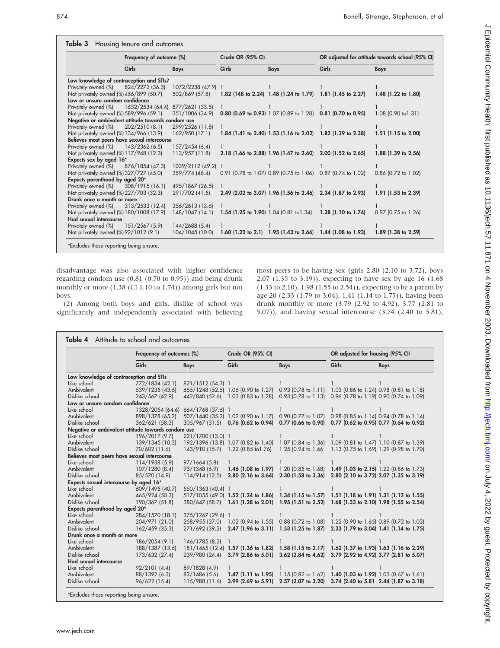|                                                      | Frequency of outcome (%) |                    | Crude OR (95% CI) |                                           | OR adjusted for attitude towards school (95% CI)                                            |                       |
|------------------------------------------------------|--------------------------|--------------------|-------------------|-------------------------------------------|---------------------------------------------------------------------------------------------|-----------------------|
|                                                      | Girls                    | <b>Boys</b>        | <b>Girls</b>      | <b>Boys</b>                               | Girls                                                                                       | <b>Boys</b>           |
| Low knowledge of contraception and STIs?             |                          |                    |                   |                                           |                                                                                             |                       |
| Privately owned (%)                                  | 824/2272 (36.3)          | 1072/2238 (47.9) 1 |                   |                                           |                                                                                             |                       |
| Not privately owned (%) 456/899 (50.7)               |                          | 502/869 (57.8)     |                   |                                           | 1.82 (148 to 2.24) 1.48 (1.24 to 1.79) 1.81 (1.45 to 2.27)                                  | $1.48$ (1.22 to 1.80) |
| Low or unsure condom confidence                      |                          |                    |                   |                                           |                                                                                             |                       |
| Privately owned (%) 1632/2534 (64.4) 877/2621 (33.5) |                          |                    |                   |                                           |                                                                                             |                       |
| Not privately owned (%) 589/996 (59.1)               |                          | 351/1006 (34.9)    |                   |                                           | 0.80 (0.69 to 0.93) 1.07 (0.89 to 1.28) 0.81 (0.70 to 0.95)                                 | 1.08 (0.90 to 1.31)   |
| Negative or ambivalent attitude towards condom use   |                          |                    |                   |                                           |                                                                                             |                       |
| Privately owned (%)                                  | 202/2510 (8.1)           | 299/2526 (11.8)    |                   |                                           |                                                                                             |                       |
| Not privately owned (%) 134/966 (13.9)               |                          | 162/950 (17.1)     |                   |                                           | 1.84 (1.41 to 2.40) 1.53 (1.16 to 2.02) 1.82 (1.39 to 2.38)                                 | $1.51$ (1.15 to 2.00) |
| Believes most peers have sexual intercourse          |                          |                    |                   |                                           |                                                                                             |                       |
| Privately owned (%) 143/2362 (6.5)                   |                          | 157/2454 (6.4)     |                   |                                           |                                                                                             |                       |
| Not privately owned (%) 117/948 (12.3)               |                          | 113/957 (11.8)     |                   |                                           | 2.18 (1.66 to 2.88) 1.96 (1.47 to 2.60) 2.00 (1.52 to 2.65)                                 | 1.88 (1.39 to 2.56)   |
| Expects sex by aged 16*                              |                          |                    |                   |                                           |                                                                                             |                       |
| Privately owned (%)                                  | 876/1854 (47.3)          | 1039/2112 (49.2) 1 |                   |                                           |                                                                                             |                       |
| Not privately owned (%) 327/727 (45.0)               |                          | 359/774 (46.4)     |                   |                                           | 0.91 (0.78 to 1.07) 0.89 (0.75 to 1.06) 0.87 (0.74 to 1.02)                                 | 0.86 (0.72 to 1.02)   |
| Expects parenthood by aged 20*                       |                          |                    |                   |                                           |                                                                                             |                       |
| Privately owned (%) 308/1915 (16.1)                  |                          | 495/1867 (26.5)    |                   |                                           |                                                                                             |                       |
| Not privately owned (%) 227/703 (32.3)               |                          | 291/702 (41.5)     |                   |                                           | 2.49 (2.02 to 3.07) 1.96 (1.56 to 2.46) 2.34 (1.87 to 2.93)                                 | 1.91 (1.53 to 2.39)   |
| Drunk once a month or more                           |                          |                    |                   |                                           |                                                                                             |                       |
| Privately owned (%)                                  | 313/2533 (12.4)          | 356/2613 (13.6)    |                   |                                           |                                                                                             |                       |
| Not privately owned (%) 180/1008 (17.9)              |                          | 148/1047 (14.1)    |                   | 1.54 (1.25 to 1.90) $1.04$ (0.81 to 1.34) | $1.38$ (1.10 to 1.74)                                                                       | 0.97 (0.75 to 1.26)   |
| <b>Had sexual intercourse</b>                        |                          |                    |                   |                                           |                                                                                             |                       |
| Privately owned (%)                                  | 151/2567 (5.9)           | 144/2688(5.4)      |                   |                                           |                                                                                             |                       |
| Not privately owned (%) 92/1012 (9.1)                |                          | 104/1045 (10.0)    |                   |                                           | 1.60 $(1.22 \text{ to } 2.1)$ 1.95 $(1.43 \text{ to } 2.66)$ 1.44 $(1.08 \text{ to } 1.93)$ | 1.89 (1.38 to 2.59)   |

disadvantage was also associated with higher confidence regarding condom use (0.81 (0.70 to 0.95)) and being drunk monthly or more (1.38 (CI 1.10 to 1.74)) among girls but not boys.

(2) Among both boys and girls, dislike of school was significantly and independently associated with believing most peers to be having sex (girls 2.80 (2.10 to 3.72), boys 2.07 (1.35 to 3.19)), expecting to have sex by age 16 (1.68 (1.33 to 2.10), 1.98 (1.55 to 2.54)), expecting to be a parent by age 20 (2.33 (1.79 to 3.04), 1.41 (1.14 to 1.75)), having been drunk monthly or more (3.79 (2.92 to 4.92), 3.77 (2.81 to 5.07)), and having sexual intercourse (3.74 (2.40 to 5.81),

|                                             |                                                    | Frequency of outcomes (%) |                                     | Crude OR (95% CI)                                                                                 |                                         | OR adjusted for housing (95% CI) |  |
|---------------------------------------------|----------------------------------------------------|---------------------------|-------------------------------------|---------------------------------------------------------------------------------------------------|-----------------------------------------|----------------------------------|--|
|                                             | Girls                                              | <b>Boys</b>               | Girls                               | <b>Boys</b>                                                                                       | Girls                                   | <b>Boys</b>                      |  |
| Low knowledge of contraception and STIs     |                                                    |                           |                                     |                                                                                                   |                                         |                                  |  |
| Like school                                 | 772/1834 (42.1)                                    | 821/1512 (54.3) 1         |                                     |                                                                                                   |                                         |                                  |  |
| Ambivalent                                  | 539/1235 (43.6)                                    |                           |                                     | 655/1248 (52.5) 1.06 (0.90 to 1.27) 0.93 (0.78 to 1.11) 1.03 (0.86 to 1.24) 0.98 (0.81 to 1.18)   |                                         |                                  |  |
| Dislike school                              | 243/567 (42.9)                                     |                           |                                     | 442/840 (52.6) 1.03 (0.83 to 1.28) 0.93 (0.78 to 1.13) 0.96 (0.78 to 1.19) 0.90 (0.74 to 1.09)    |                                         |                                  |  |
| Low or unsure condom confidence             |                                                    |                           |                                     |                                                                                                   |                                         |                                  |  |
| Like school                                 | 1328/2054 (64.6) 664/1768 (37.6) 1                 |                           |                                     |                                                                                                   |                                         |                                  |  |
| Ambivalent                                  | 898/1378 (65.2)                                    |                           | 507/1440 (35.2) 1.02 (0.90 to 1.17) | 0.90 (0.77 to 1.07) 0.98 (0.85 to 1.14) 0.94 (0.78 to 1.14)                                       |                                         |                                  |  |
| Dislike school                              | 362/621 (58.3)                                     |                           | 305/967 (31.5) 0.76 (0.62 to 0.94)  | 0.77 (0.66 to 0.90) 0.77 (0.62 to 0.95) 0.77 (0.64 to 0.92)                                       |                                         |                                  |  |
|                                             | Negative or ambivalent attitude towards condom use |                           |                                     |                                                                                                   |                                         |                                  |  |
| Like school                                 | 196/2017 (9.7)                                     | 221/1700 (13.0) 1         |                                     |                                                                                                   |                                         |                                  |  |
| Ambivalent                                  | 139/1345 (10.3)                                    |                           |                                     | 192/1396 (13.8) 1.07 (0.82 to 1.40) 1.07 (0.84 to 1.36) 1.09 (0.81 to 1.47) 1.10 (0.87 to 1.39)   |                                         |                                  |  |
| Dislike school                              | 70/602 (11.6)                                      |                           | 143/910 (15.7) 1.22 (0.85 to 1.76)  | 1.25 (0.94 to 1.66 1.13 (0.75 to 1.69) 1.29 (0.98 to 1.70)                                        |                                         |                                  |  |
| Believes most peers have sexual intercourse |                                                    |                           |                                     |                                                                                                   |                                         |                                  |  |
| Like school                                 | 114/1938 (5.9)                                     | 97/1664 (5.8)             |                                     |                                                                                                   |                                         |                                  |  |
| Ambivalent                                  | 107/1280 (8.4)                                     | 93/1348 (6.9)             | 1.46 $(1.08 \text{ to } 1.97)$      | 1.20 $(0.85 \text{ to } 1.68)$ 1.49 $(1.03 \text{ to } 2.15)$ 1.22 $(0.86 \text{ to } 1.73)$      |                                         |                                  |  |
| Dislike school                              | 85/570 (14.9)                                      | 114/914 (12.5)            | $2.80$ (2.16 to 3.64)               | $2.30$ (1.58 to 3.36)                                                                             | 2.80 (2.10 to 3.72) 2.07 (1.35 to 3.19) |                                  |  |
| Expects sexual intercourse by aged 16*      |                                                    |                           |                                     |                                                                                                   |                                         |                                  |  |
| Like school                                 | 609/1495 (40.7)                                    | 550/1363 (40.4) 1         |                                     |                                                                                                   |                                         |                                  |  |
| Ambivalent                                  | 465/924 (50.3)                                     |                           |                                     | $517/1055$ (49.0) 1.52 (1.24 to 1.86) 1.34 (1.15 to 1.57) 1.51 (1.18 to 1.91) 1.31 (1.12 to 1.55) |                                         |                                  |  |
| Dislike school                              | 190/367 (51.8)                                     |                           |                                     | 380/647 (58.7) 1.61 (1.28 to 2.01) 1.95 (1.51 to 2.52) 1.68 (1.33 to 2.10) 1.98 (1.55 to 2.54)    |                                         |                                  |  |
| Expects parenthood by aged 20*              |                                                    |                           |                                     |                                                                                                   |                                         |                                  |  |
| Like school                                 | 284/1570 (18.1)                                    | 375/1267 (29.6) 1         |                                     |                                                                                                   |                                         |                                  |  |
| Ambivalent                                  | 204/971 (21.0)                                     |                           | 258/955 (27.0) 1.02 (0.94 to 1.55)  | 0.88 (0.72 to 1.08) 1.22 (0.90 to 1.65) 0.89 (0.72 to 1.03)                                       |                                         |                                  |  |
| Dislike school                              | 162/459 (35.3)                                     | 271/692 (39.2)            | $2.47$ (1.96 to 3.11)               | 1.53 (1.25 to 1.87) 2.33 (1.79 to 3.04) 1.41 (1.14 to 1.75)                                       |                                         |                                  |  |
| Drunk once a month or more                  |                                                    |                           |                                     |                                                                                                   |                                         |                                  |  |
| Like school                                 | 186/2054 (9.1)                                     | 146/1785 (8.2)            |                                     |                                                                                                   |                                         |                                  |  |
| Ambivalent                                  | 188/1387 (13.6)                                    |                           |                                     | 181/1465 (12.4) 1.57 (1.36 to 1.82) 1.58 (1.15 to 2.17) 1.62 (1.37 to 1.93) 1.63 (1.16 to 2.29)   |                                         |                                  |  |
| Dislike school                              | 173/632 (27.4)                                     | 239/980 (24.4)            | 3.79 (2.86 to 5.01)                 | 3.62 (2.84 to 4.62) 3.79 (2.92 to 4.92) 3.77 (2.81 to 5.07)                                       |                                         |                                  |  |
| <b>Had sexual intercourse</b>               |                                                    |                           |                                     |                                                                                                   |                                         |                                  |  |
| Like school                                 | 92/2101 (4.4)                                      | 89/1828 (4.9)             |                                     |                                                                                                   |                                         |                                  |  |
| Ambivalent                                  | 88/1392 (6.3)                                      | 83/1486 (5.6)             | $1.47$ (1.11 to 1.95)               | $1.15(0.82 \text{ to } 1.62)$                                                                     | 1.40 (1.03 to 1.92) 1.03 (0.67 to 1.61) |                                  |  |
| Dislike school                              | 96/622 (15.4)                                      | 115/988 (11.6)            | 3.99 (2.69 to 5.91)                 | 2.57 (2.07 to 3.20)                                                                               | 3.74 (2.40 to 5.81 2.44 (1.87 to 3.18)  |                                  |  |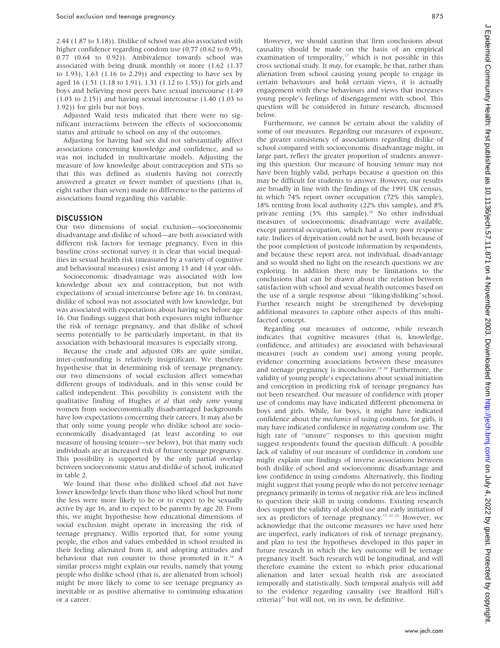2.44 (1.87 to 3.18)). Dislike of school was also associated with higher confidence regarding condom use (0.77 (0.62 to 0.95), 0.77 (0.64 to 0.92)). Ambivalence towards school was associated with being drunk monthly or more (1.62 (1.37 to 1.93), 1.63 (1.16 to 2.29)) and expecting to have sex by aged 16 (1.51 (1.18 to 1.91), 1.31 (1.12 to 1.55)) for girls and boys and believing most peers have sexual intercourse (1.49 (1.03 to 2.15)) and having sexual intercourse (1.40 (1.03 to 1.92)) for girls but not boys.

Adjusted Wald tests indicated that there were no significant interactions between the effects of socioeconomic status and attitude to school on any of the outcomes.

Adjusting for having had sex did not substantially affect associations concerning knowledge and confidence, and so was not included in multivariate models. Adjusting the measure of low knowledge about contraception and STIs so that this was defined as students having not correctly answered a greater or fewer number of questions (that is, eight rather than seven) made no difference to the patterns of associations found regarding this variable.

### **DISCUSSION**

Our two dimensions of social exclusion—socioeconomic disadvantage and dislike of school—are both associated with different risk factors for teenage pregnancy. Even in this baseline cross sectional survey it is clear that social inequalities in sexual health risk (measured by a variety of cognitive and behavioural measures) exist among 13 and 14 year olds.

Socioeconomic disadvantage was associated with low knowledge about sex and contraception, but not with expectations of sexual intercourse before age 16. In contrast, dislike of school was not associated with low knowledge, but was associated with expectations about having sex before age 16. Our findings suggest that both exposures might influence the risk of teenage pregnancy, and that dislike of school seems potentially to be particularly important, in that its association with behavioural measures is especially strong.

Because the crude and adjusted ORs are quite similar, inter-confounding is relatively insignificant. We therefore hypothesise that in determining risk of teenage pregnancy, our two dimensions of social exclusion affect somewhat different groups of individuals, and in this sense could be called independent. This possibility is consistent with the qualitative finding of Hughes et al that only some young women from socioeconomically disadvantaged backgrounds have low expectations concerning their careers. It may also be that only some young people who dislike school are socioeconomically disadvantaged (at least according to our measure of housing tenure—see below), but that many such individuals are at increased risk of future teenage pregnancy. This possibility is supported by the only partial overlap between socioeconomic status and dislike of school, indicated in table 2.

We found that those who disliked school did not have lower knowledge levels than those who liked school but none the less were more likely to be or to expect to be sexually active by age 16, and to expect to be parents by age 20. From this, we might hypothesise how educational dimensions of social exclusion might operate in increasing the risk of teenage pregnancy. Willis reported that, for some young people, the ethos and values embedded in school resulted in their feeling alienated from it, and adopting attitudes and behaviour that run counter to those promoted in it.<sup>16</sup> A similar process might explain our results, namely that young people who dislike school (that is, are alienated from school) might be more likely to come to see teenage pregnancy as inevitable or as positive alternative to continuing education or a career.

However, we should caution that firm conclusions about causality should be made on the basis of an empirical examination of temporality, $17$  which is not possible in this cross sectional study. It may, for example, be that, rather than alienation from school causing young people to engage in certain behaviours and hold certain views, it is actually engagement with these behaviours and views that increases young people's feelings of disengagement with school. This question will be considered in future research, discussed below.

Furthermore, we cannot be certain about the validity of some of our measures. Regarding our measures of exposure, the greater consistency of associations regarding dislike of school compared with socioeconomic disadvantage might, in large part, reflect the greater proportion of students answering this question. Our measure of housing tenure may not have been highly valid, perhaps because a question on this may be difficult for students to answer. However, our results are broadly in line with the findings of the 1991 UK census, in which 74% report owner occupation (72% this sample), 18% renting from local authority (22% this sample), and 8% private renting (5% this sample).<sup>18</sup> No other individual measures of socioeconomic disadvantage were available, except parental occupation, which had a very poor response rate. Indices of deprivation could not be used, both because of the poor completion of postcode information by respondents, and because these report area, not individual, disadvantage and so would shed no light on the research questions we are exploring. In addition there may be limitations to the conclusions that can be drawn about the relation between satisfaction with school and sexual health outcomes based on the use of a single response about ''liking/disliking''school. Further research might be strengthened by developing additional measures to capture other aspects of this multifaceted concept.

Regarding our measures of outcome, while research indicates that cognitive measures (that is, knowledge, confidence, and attitudes) are associated with behavioural measures (such as condom use) among young people, evidence concerning associations between these measures and teenage pregnancy is inconclusive.<sup>19 20</sup> Furthermore, the validity of young people's expectations about sexual initiation and conception in predicting risk of teenage pregnancy has not been researched. Our measure of confidence with proper use of condoms may have indicated different phenomena in boys and girls. While, for boys, it might have indicated confidence about the mechanics of using condoms, for girls, it may have indicated confidence in negotiating condom use. The high rate of ''unsure'' responses to this question might suggest respondents found the question difficult. A possible lack of validity of our measure of confidence in condom use might explain our findings of inverse associations between both dislike of school and socioeconomic disadvantage and low confidence in using condoms. Alternatively, this finding might suggest that young people who do not perceive teenage pregnancy primarily in terms of negative risk are less inclined to question their skill in using condoms. Existing research does support the validity of alcohol use and early initiation of sex as predictors of teenage pregnancy.<sup>17 21 22</sup> However, we acknowledge that the outcome measures we have used here are imperfect, early indicators of risk of teenage pregnancy, and plan to test the hypotheses developed in this paper in future research in which the key outcome will be teenage pregnancy itself. Such research will be longitudinal, and will therefore examine the extent to which prior educational alienation and later sexual health risk are associated temporally and statistically. Such temporal analysis will add to the evidence regarding causality (see Bradford Hill's  $c$ riteria)<sup>23</sup> but will not, on its own, be definitive.